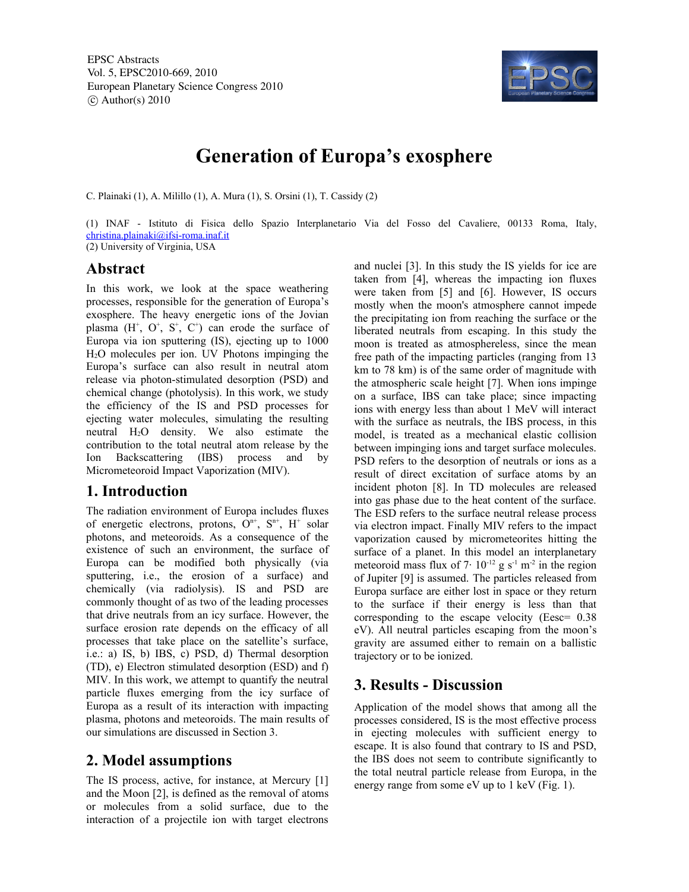

# **Generation of Europa's exosphere**

C. Plainaki (1), A. Milillo (1), A. Mura (1), S. Orsini (1), T. Cassidy (2)

(1) INAF - Istituto di Fisica dello Spazio Interplanetario Via del Fosso del Cavaliere, 00133 Roma, Italy, christina.plainaki@ifsi-roma.inaf.it (2) University of Virginia, USA

### **Abstract**

In this work, we look at the space weathering processes, responsible for the generation of Europa's exosphere. The heavy energetic ions of the Jovian plasma  $(H^+, O^+, S^+, C^+)$  can erode the surface of Europa via ion sputtering (IS), ejecting up to 1000 H2O molecules per ion. UV Photons impinging the Europa's surface can also result in neutral atom release via photon-stimulated desorption (PSD) and chemical change (photolysis). In this work, we study the efficiency of the IS and PSD processes for ejecting water molecules, simulating the resulting neutral H2O density. We also estimate the contribution to the total neutral atom release by the Ion Backscattering (IBS) process and by Micrometeoroid Impact Vaporization (MIV).

### **1. Introduction**

The radiation environment of Europa includes fluxes of energetic electrons, protons,  $O^{n+}$ ,  $S^{n+}$ ,  $H^+$  solar photons, and meteoroids. As a consequence of the existence of such an environment, the surface of Europa can be modified both physically (via sputtering, i.e., the erosion of a surface) and chemically (via radiolysis). IS and PSD are commonly thought of as two of the leading processes that drive neutrals from an icy surface. However, the surface erosion rate depends on the efficacy of all processes that take place on the satellite's surface, i.e.: a) IS, b) IBS, c) PSD, d) Thermal desorption (TD), e) Electron stimulated desorption (ESD) and f) MIV. In this work, we attempt to quantify the neutral particle fluxes emerging from the icy surface of Europa as a result of its interaction with impacting plasma, photons and meteoroids. The main results of our simulations are discussed in Section 3.

# **2. Model assumptions**

The IS process, active, for instance, at Mercury [1] and the Moon [2], is defined as the removal of atoms or molecules from a solid surface, due to the interaction of a projectile ion with target electrons and nuclei [3]. In this study the IS yields for ice are taken from [4], whereas the impacting ion fluxes were taken from [5] and [6]. However, IS occurs mostly when the moon's atmosphere cannot impede the precipitating ion from reaching the surface or the liberated neutrals from escaping. In this study the moon is treated as atmosphereless, since the mean free path of the impacting particles (ranging from 13 km to 78 km) is of the same order of magnitude with the atmospheric scale height [7]. When ions impinge on a surface, IBS can take place; since impacting ions with energy less than about 1 MeV will interact with the surface as neutrals, the IBS process, in this model, is treated as a mechanical elastic collision between impinging ions and target surface molecules. PSD refers to the desorption of neutrals or ions as a result of direct excitation of surface atoms by an incident photon [8]. In TD molecules are released into gas phase due to the heat content of the surface. The ESD refers to the surface neutral release process via electron impact. Finally MIV refers to the impact vaporization caused by micrometeorites hitting the surface of a planet. In this model an interplanetary meteoroid mass flux of  $7 \cdot 10^{-12}$  g s<sup>-1</sup> m<sup>-2</sup> in the region of Jupiter [9] is assumed. The particles released from Europa surface are either lost in space or they return to the surface if their energy is less than that corresponding to the escape velocity (Eesc= 0.38 eV). All neutral particles escaping from the moon's gravity are assumed either to remain on a ballistic trajectory or to be ionized.

# **3. Results - Discussion**

Application of the model shows that among all the processes considered, IS is the most effective process in ejecting molecules with sufficient energy to escape. It is also found that contrary to IS and PSD, the IBS does not seem to contribute significantly to the total neutral particle release from Europa, in the energy range from some eV up to 1 keV (Fig. 1).